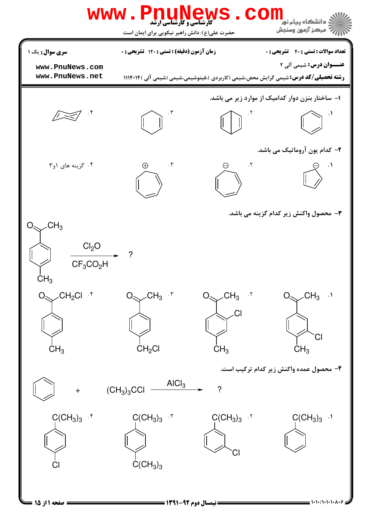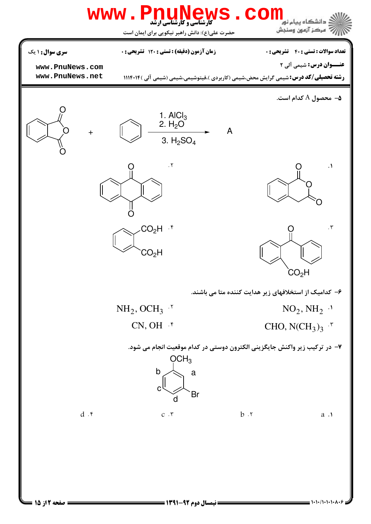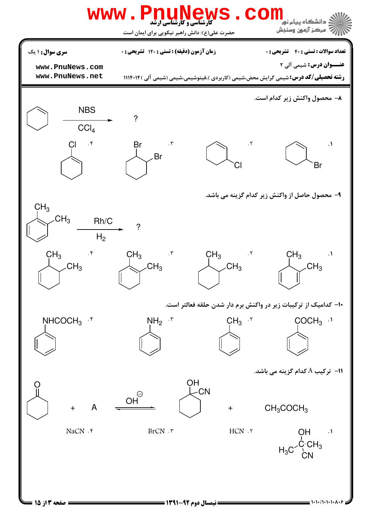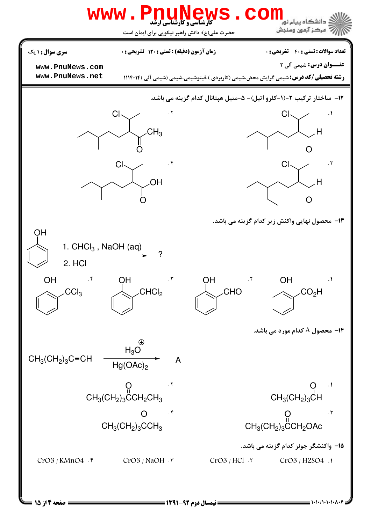

A&@&#&#&/#&#&# نيمسال دوم 1391-92 صفحه 4 از 15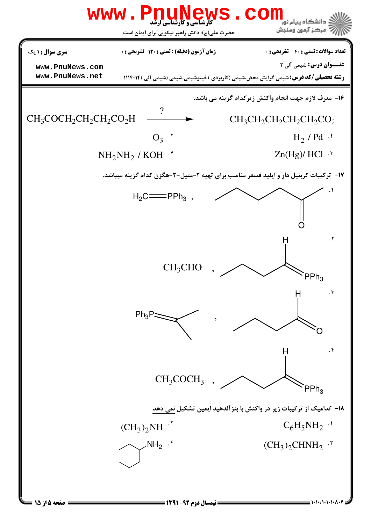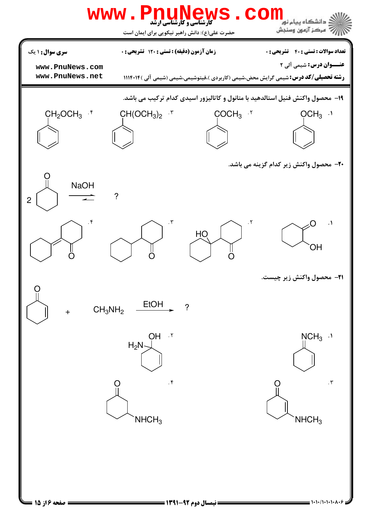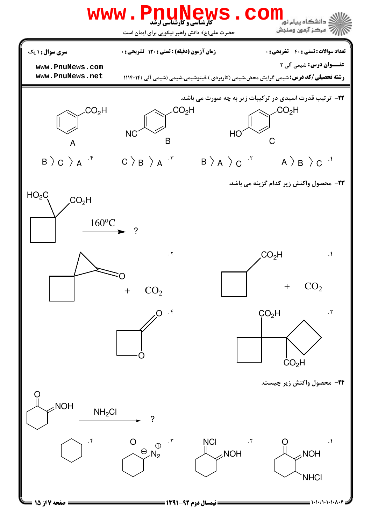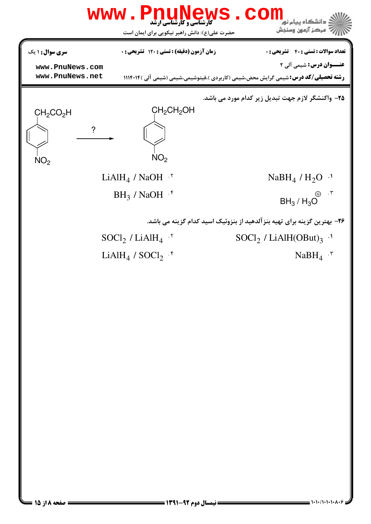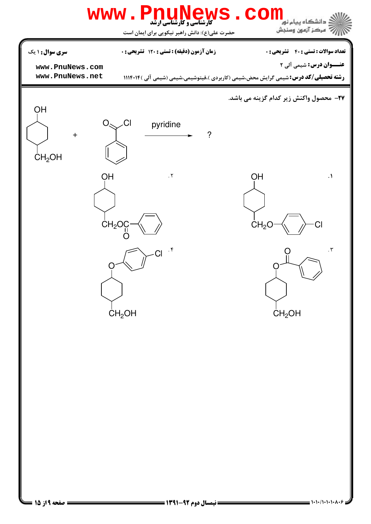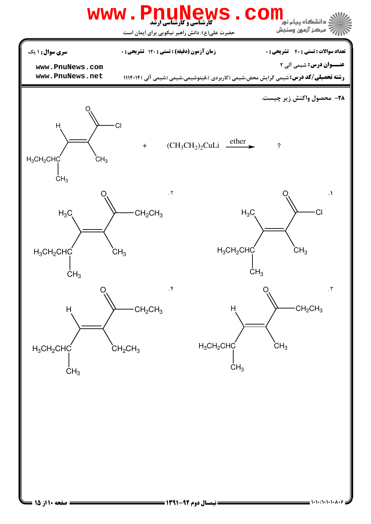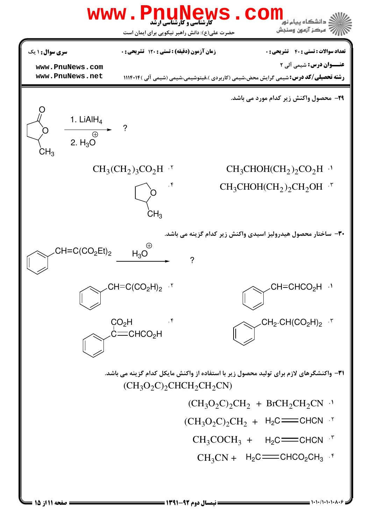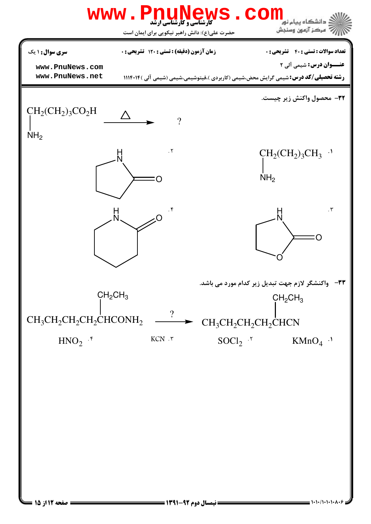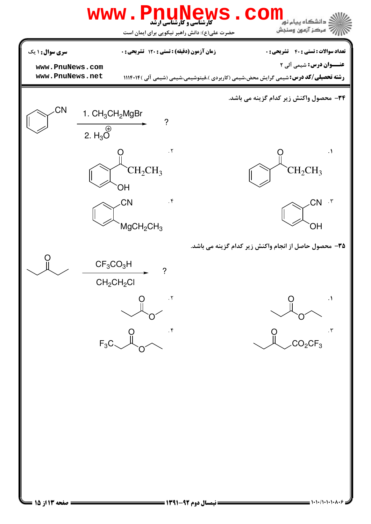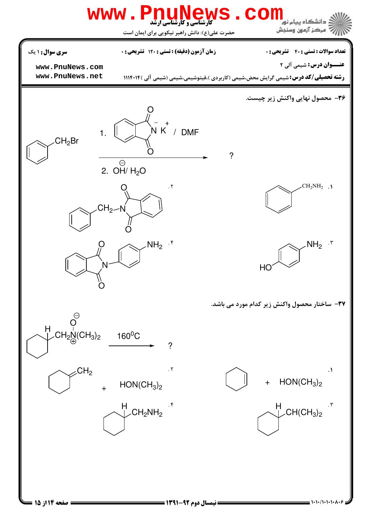